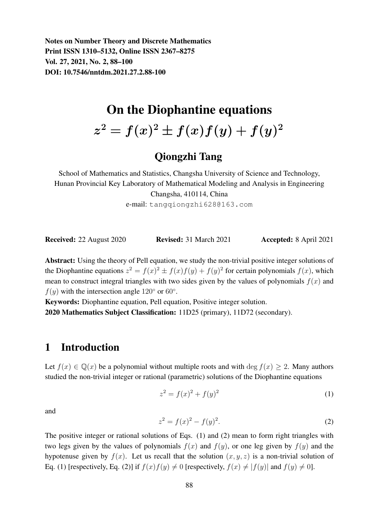Notes on Number Theory and Discrete Mathematics Print ISSN 1310–5132, Online ISSN 2367–8275 Vol. 27, 2021, No. 2, 88–100 DOI: 10.7546/nntdm.2021.27.2.88-100

# On the Diophantine equations

 $z^2=f(x)^2\pm f(x)f(y)+f(y)^2$ 

# Qiongzhi Tang

School of Mathematics and Statistics, Changsha University of Science and Technology, Hunan Provincial Key Laboratory of Mathematical Modeling and Analysis in Engineering Changsha, 410114, China

e-mail: tangqiongzhi628@163.com

| <b>Received:</b> 22 August 2020 | <b>Revised:</b> 31 March 2021 | <b>Accepted:</b> 8 April 2021 |
|---------------------------------|-------------------------------|-------------------------------|
|---------------------------------|-------------------------------|-------------------------------|

Abstract: Using the theory of Pell equation, we study the non-trivial positive integer solutions of the Diophantine equations  $z^2 = f(x)^2 \pm f(x)f(y) + f(y)^2$  for certain polynomials  $f(x)$ , which mean to construct integral triangles with two sides given by the values of polynomials  $f(x)$  and  $f(y)$  with the intersection angle 120 $\degree$  or 60 $\degree$ .

Keywords: Diophantine equation, Pell equation, Positive integer solution. 2020 Mathematics Subject Classification: 11D25 (primary), 11D72 (secondary).

# 1 Introduction

Let  $f(x) \in \mathbb{Q}(x)$  be a polynomial without multiple roots and with deg  $f(x) \geq 2$ . Many authors studied the non-trivial integer or rational (parametric) solutions of the Diophantine equations

$$
z^2 = f(x)^2 + f(y)^2 \tag{1}
$$

and

$$
z^2 = f(x)^2 - f(y)^2.
$$
 (2)

The positive integer or rational solutions of Eqs. (1) and (2) mean to form right triangles with two legs given by the values of polynomials  $f(x)$  and  $f(y)$ , or one leg given by  $f(y)$  and the hypotenuse given by  $f(x)$ . Let us recall that the solution  $(x, y, z)$  is a non-trivial solution of Eq. (1) [respectively, Eq. (2)] if  $f(x)f(y) \neq 0$  [respectively,  $f(x) \neq |f(y)|$  and  $f(y) \neq 0$ ].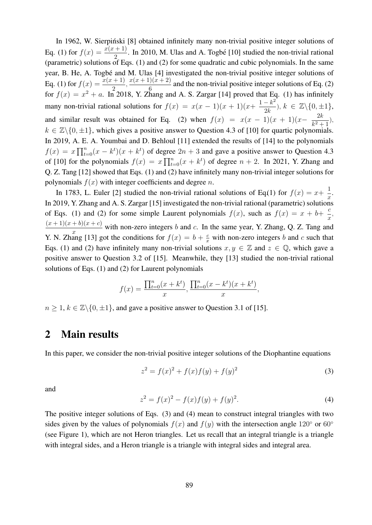In 1962, W. Sierpiński [8] obtained infinitely many non-trivial positive integer solutions of Eq. (1) for  $f(x) = \frac{x(x+1)}{2}$ . In 2010, M. Ulas and A. Togbé [10] studied the non-trivial rational (parametric) solutions of Eqs. (1) and (2) for some quadratic and cubic polynomials. In the same year, B. He, A. Togbé and M. Ulas [4] investigated the non-trivial positive integer solutions of Eq. (1) for  $f(x) = \frac{x(x+1)}{2}, \frac{x(x+1)(x+2)}{6}$  $\frac{6}{6}$  and the non-trivial positive integer solutions of Eq. (2) for  $f(x) = x^2 + a$ . In 2018, Y. Zhang and A. S. Zargar [14] proved that Eq. (1) has infinitely many non-trivial rational solutions for  $f(x) = x(x - 1)(x + 1)(x + \frac{1 - k^2}{2L})$  $\frac{-k^2}{2k}$ ),  $k \in \mathbb{Z}\backslash\{0,\pm 1\},\$ and similar result was obtained for Eq. (2) when  $f(x) = x(x - 1)(x + 1)(x - \frac{2k}{x^2 + 1})$  $\frac{2k}{k^2+1}$ ),  $k \in \mathbb{Z}\backslash\{0,\pm 1\}$ , which gives a positive answer to Question 4.3 of [10] for quartic polynomials. In 2019, A. E. A. Youmbai and D. Behloul [11] extended the results of [14] to the polynomials  $f(x) = x \prod_{t=0}^{n} (x - k^t)(x + k^t)$  of degree  $2n + 3$  and gave a positive answer to Question 4.3 of [10] for the polynomials  $f(x) = x \prod_{t=0}^{n} (x + k^t)$  of degree  $n + 2$ . In 2021, Y. Zhang and Q. Z. Tang [12] showed that Eqs. (1) and (2) have infinitely many non-trivial integer solutions for polynomials  $f(x)$  with integer coefficients and degree *n*.

In 1783, L. Euler [2] studied the non-trivial rational solutions of Eq.(1) for  $f(x) = x + \frac{1}{x}$  $\frac{1}{x}$ . In 2019, Y. Zhang and A. S. Zargar [15] investigated the non-trivial rational (parametric) solutions of Eqs. (1) and (2) for some simple Laurent polynomials  $f(x)$ , such as  $f(x) = x + b + \frac{c}{x}$  $\frac{0}{x}$  $(x + 1)(x + b)(x + c)$  $\frac{x}{x}$  with non-zero integers b and c. In the same year, Y. Zhang, Q. Z. Tang and Y. N. Zhang [13] got the conditions for  $f(x) = b + \frac{c}{x}$  with non-zero integers b and c such that Eqs. (1) and (2) have infinitely many non-trivial solutions  $x, y \in \mathbb{Z}$  and  $z \in \mathbb{Q}$ , which gave a positive answer to Question 3.2 of [15]. Meanwhile, they [13] studied the non-trivial rational solutions of Eqs. (1) and (2) for Laurent polynomials

$$
f(x) = \frac{\prod_{t=0}^{n} (x + k^{t})}{x}, \frac{\prod_{t=0}^{n} (x - k^{t})(x + k^{t})}{x},
$$

 $n \geq 1, k \in \mathbb{Z} \setminus \{0, \pm 1\}$ , and gave a positive answer to Question 3.1 of [15].

## 2 Main results

In this paper, we consider the non-trivial positive integer solutions of the Diophantine equations

$$
z^{2} = f(x)^{2} + f(x)f(y) + f(y)^{2}
$$
\n(3)

and

$$
z^{2} = f(x)^{2} - f(x)f(y) + f(y)^{2}.
$$
\n(4)

The positive integer solutions of Eqs. (3) and (4) mean to construct integral triangles with two sides given by the values of polynomials  $f(x)$  and  $f(y)$  with the intersection angle 120° or 60° (see Figure 1), which are not Heron triangles. Let us recall that an integral triangle is a triangle with integral sides, and a Heron triangle is a triangle with integral sides and integral area.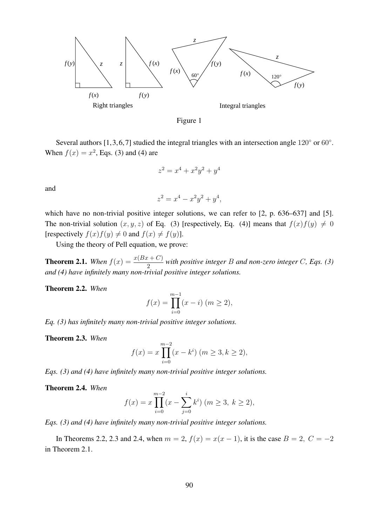



Several authors [1, 3, 6, 7] studied the integral triangles with an intersection angle 120 $\degree$  or 60 $\degree$ . When  $f(x) = x^2$ , Eqs. (3) and (4) are

$$
z^2 = x^4 + x^2y^2 + y^4
$$

and

$$
z^2 = x^4 - x^2y^2 + y^4,
$$

which have no non-trivial positive integer solutions, we can refer to [2, p. 636–637] and [5]. The non-trivial solution  $(x, y, z)$  of Eq. (3) [respectively, Eq. (4)] means that  $f(x)f(y) \neq 0$ [respectively  $f(x)f(y) \neq 0$  and  $f(x) \neq f(y)$ ].

Using the theory of Pell equation, we prove:

**Theorem 2.1.** When  $f(x) = \frac{x(Bx+C)}{2}$  with positive integer B and non-zero integer C, Eqs. (3) *and (4) have infinitely many non-trivial positive integer solutions.*

Theorem 2.2. *When*

$$
f(x) = \prod_{i=0}^{m-1} (x - i) \quad (m \ge 2),
$$

*Eq. (3) has infinitely many non-trivial positive integer solutions.*

Theorem 2.3. *When*

$$
f(x) = x \prod_{i=0}^{m-2} (x - k^i) \quad (m \ge 3, k \ge 2),
$$

*Eqs. (3) and (4) have infinitely many non-trivial positive integer solutions.*

Theorem 2.4. *When*

$$
f(x) = x \prod_{i=0}^{m-2} (x - \sum_{j=0}^{i} k^{i}) \quad (m \ge 3, \ k \ge 2),
$$

*Eqs. (3) and (4) have infinitely many non-trivial positive integer solutions.*

In Theorems 2.2, 2.3 and 2.4, when  $m = 2$ ,  $f(x) = x(x - 1)$ , it is the case  $B = 2$ ,  $C = -2$ in Theorem 2.1.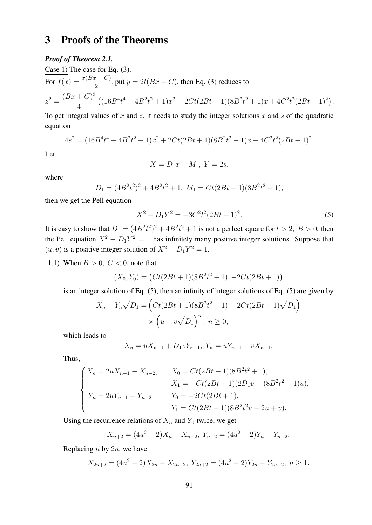# 3 Proofs of the Theorems

#### *Proof of Theorem 2.1.*

Case 1) The case for Eq. (3). For  $f(x) = \frac{x(Bx+C)}{2}$ , put  $y = 2t(Bx+C)$ , then Eq. (3) reduces to  $z^2 = \frac{(Bx+C)^2}{4}$ 4  $((16B<sup>4</sup>t<sup>4</sup> + 4B<sup>2</sup>t<sup>2</sup> + 1)x<sup>2</sup> + 2Ct(2Bt + 1)(8B<sup>2</sup>t<sup>2</sup> + 1)x + 4C<sup>2</sup>t<sup>2</sup>(2Bt + 1)<sup>2</sup>).$ 

To get integral values of x and z, it needs to study the integer solutions x and s of the quadratic equation

$$
4s2 = (16B4t4 + 4B2t2 + 1)x2 + 2Ct(2Bt + 1)(8B2t2 + 1)x + 4C2t2(2Bt + 1)2.
$$

Let

$$
X = D_1 x + M_1, \ Y = 2s,
$$

where

$$
D_1 = (4B^2t^2)^2 + 4B^2t^2 + 1, M_1 = Ct(2Bt + 1)(8B^2t^2 + 1),
$$

then we get the Pell equation

$$
X^2 - D_1 Y^2 = -3C^2 t^2 (2Bt + 1)^2.
$$
 (5)

It is easy to show that  $D_1 = (4B^2t^2)^2 + 4B^2t^2 + 1$  is not a perfect square for  $t > 2$ ,  $B > 0$ , then the Pell equation  $X^2 - D_1 Y^2 = 1$  has infinitely many positive integer solutions. Suppose that  $(u, v)$  is a positive integer solution of  $X^2 - D_1Y^2 = 1$ .

1.1) When  $B > 0$ ,  $C < 0$ , note that

$$
(X_0, Y_0) = (Ct(2Bt + 1)(8B^2t^2 + 1), -2Ct(2Bt + 1))
$$

is an integer solution of Eq. (5), then an infinity of integer solutions of Eq. (5) are given by

$$
X_n + Y_n \sqrt{D_1} = \left( Ct(2Bt + 1)(8B^2t^2 + 1) - 2Ct(2Bt + 1)\sqrt{D_1}\right)
$$
  
 
$$
\times \left(u + v\sqrt{D_1}\right)^n, \ n \ge 0,
$$

which leads to

$$
X_n = uX_{n-1} + D_1vY_{n-1}, Y_n = uY_{n-1} + vX_{n-1}.
$$

Thus,

$$
\begin{cases}\nX_n = 2uX_{n-1} - X_{n-2}, & X_0 = Ct(2Bt+1)(8B^2t^2+1), \\
X_1 = -Ct(2Bt+1)(2D_1v - (8B^2t^2+1)u); \\
Y_n = 2uY_{n-1} - Y_{n-2}, & Y_0 = -2Ct(2Bt+1), \\
Y_1 = Ct(2Bt+1)(8B^2t^2v - 2u + v).\n\end{cases}
$$

Using the recurrence relations of  $X_n$  and  $Y_n$  twice, we get

$$
X_{n+2} = (4u^2 - 2)X_n - X_{n-2}, Y_{n+2} = (4u^2 - 2)Y_n - Y_{n-2}.
$$

Replacing  $n$  by  $2n$ , we have

$$
X_{2n+2} = (4u^2 - 2)X_{2n} - X_{2n-2}, Y_{2n+2} = (4u^2 - 2)Y_{2n} - Y_{2n-2}, n \ge 1.
$$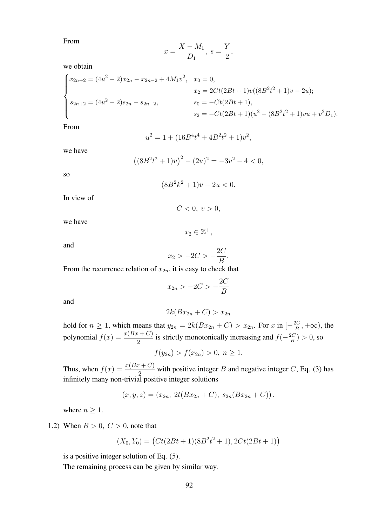From

$$
x = \frac{X - M_1}{D_1}, \ s = \frac{Y}{2},
$$

we obtain

$$
\begin{cases}\nx_{2n+2} = (4u^2 - 2)x_{2n} - x_{2n-2} + 4M_1v^2, & x_0 = 0, \\
x_2 = 2Ct(2Bt + 1)v((8B^2t^2 + 1)v - 2u); \\
s_{2n+2} = (4u^2 - 2)s_{2n} - s_{2n-2}, & s_0 = -Ct(2Bt + 1), \\
s_2 = -Ct(2Bt + 1)(u^2 - (8B^2t^2 + 1)vu + v^2D_1).\n\end{cases}
$$

From

$$
u^2 = 1 + (16B^4t^4 + 4B^2t^2 + 1)v^2,
$$

we have

$$
((8B2t2+1)v)2 - (2u)2 = -3v2 - 4 < 0,
$$

so

$$
(8B^2k^2 + 1)v - 2u < 0.
$$

In view of

 $C < 0, v > 0,$ 

we have

and

$$
x_2 > -2C > -\frac{2C}{B}.
$$

 $x_2 \in \mathbb{Z}^+,$ 

From the recurrence relation of  $x_{2n}$ , it is easy to check that

$$
x_{2n} > -2C > -\frac{2C}{B}
$$

and

$$
2k(Bx_{2n}+C) > x_{2n}
$$

hold for  $n \geq 1$ , which means that  $y_{2n} = 2k(Bx_{2n} + C) > x_{2n}$ . For x in  $\left[-\frac{2C}{B}\right]$  $\frac{2C}{B}, +\infty$ ), the polynomial  $f(x) = \frac{x(Bx+C)}{2}$  is strictly monotonically increasing and  $f(-\frac{2C}{B})$  $\frac{2C}{B}$ ) > 0, so

 $f(y_{2n}) > f(x_{2n}) > 0, n \ge 1.$ 

Thus, when  $f(x) = \frac{x(Bx+C)}{2}$  with positive integer B and negative integer C, Eq. (3) has infinitely many non-trivial positive integer solutions

$$
(x, y, z) = (x_{2n}, 2t(Bx_{2n} + C), s_{2n}(Bx_{2n} + C)),
$$

where  $n \geq 1$ .

1.2) When  $B > 0$ ,  $C > 0$ , note that

$$
(X_0, Y_0) = (Ct(2Bt + 1)(8B^2t^2 + 1), 2Ct(2Bt + 1))
$$

is a positive integer solution of Eq. (5).

The remaining process can be given by similar way.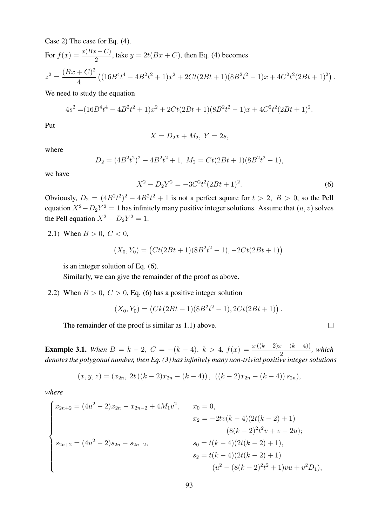Case 2) The case for Eq. (4).

For  $f(x) = \frac{x(Bx+C)}{2}$ , take  $y = 2t(Bx+C)$ , then Eq. (4) becomes

$$
z^{2} = \frac{(Bx+C)^{2}}{4} \left( (16B^{4}t^{4} - 4B^{2}t^{2} + 1)x^{2} + 2Ct(2Bt+1)(8B^{2}t^{2} - 1)x + 4C^{2}t^{2}(2Bt+1)^{2} \right).
$$

We need to study the equation

$$
4s2 = (16B4t4 - 4B2t2 + 1)x2 + 2Ct(2Bt + 1)(8B2t2 - 1)x + 4C2t2(2Bt + 1)2.
$$

Put

$$
X = D_2 x + M_2, \ Y = 2s,
$$

where

$$
D_2 = (4B^2t^2)^2 - 4B^2t^2 + 1, M_2 = Ct(2Bt + 1)(8B^2t^2 - 1),
$$

we have

$$
X^2 - D_2 Y^2 = -3C^2 t^2 (2Bt + 1)^2.
$$
 (6)

 $\Box$ 

Obviously,  $D_2 = (4B^2t^2)^2 - 4B^2t^2 + 1$  is not a perfect square for  $t > 2$ ,  $B > 0$ , so the Pell equation  $X^2 - D_2Y^2 = 1$  has infinitely many positive integer solutions. Assume that  $(u, v)$  solves the Pell equation  $X^2 - D_2Y^2 = 1$ .

2.1) When  $B > 0$ ,  $C < 0$ ,

$$
(X_0, Y_0) = (Ct(2Bt + 1)(8B^2t^2 - 1), -2Ct(2Bt + 1))
$$

is an integer solution of Eq. (6).

Similarly, we can give the remainder of the proof as above.

2.2) When  $B > 0$ ,  $C > 0$ , Eq. (6) has a positive integer solution

$$
(X_0, Y_0) = (Ck(2Bt + 1)(8B^2t^2 - 1), 2Ct(2Bt + 1)).
$$

The remainder of the proof is similar as 1.1) above.

**Example 3.1.** When  $B = k - 2$ ,  $C = -(k - 4)$ ,  $k > 4$ ,  $f(x) = \frac{x((k-2)x - (k-4))}{2}$ , which *denotes the polygonal number, then Eq. (3) has infinitely many non-trivial positive integer solutions*

$$
(x, y, z) = (x_{2n}, 2t ((k - 2)x_{2n} - (k - 4)), ((k - 2)x_{2n} - (k - 4)) s_{2n}),
$$

*where*

$$
\begin{cases}\nx_{2n+2} = (4u^2 - 2)x_{2n} - x_{2n-2} + 4M_1v^2, & x_0 = 0, \\
x_2 = -2tv(k-4)(2t(k-2) + 1) \\
(8(k-2)^2t^2v + v - 2u); \\
s_{2n+2} = (4u^2 - 2)s_{2n} - s_{2n-2}, & s_0 = t(k-4)(2t(k-2) + 1), \\
s_2 = t(k-4)(2t(k-2) + 1) \\
(u^2 - (8(k-2)^2t^2 + 1)v u + v^2D_1),\n\end{cases}
$$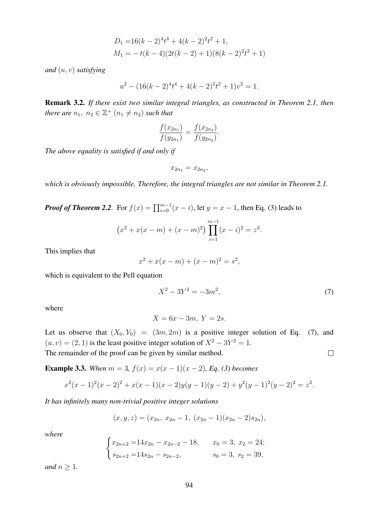$$
D_1 = 16(k-2)^4 t^4 + 4(k-2)^2 t^2 + 1,
$$
  
\n
$$
M_1 = -t(k-4)(2t(k-2) + 1)(8(k-2)^2 t^2 + 1)
$$

*and* (u, v) *satisfying*

$$
u^{2} - (16(k - 2)^{4}t^{4} + 4(k - 2)^{2}t^{2} + 1)v^{2} = 1.
$$

Remark 3.2. *If there exist two similar integral triangles, as constructed in Theorem 2.1, then there are*  $n_1, n_2 \in \mathbb{Z}^+$   $(n_1 \neq n_2)$  *such that* 

$$
\frac{f(x_{2n_1})}{f(y_{2n_1})} = \frac{f(x_{2n_2})}{f(y_{2n_2})}.
$$

*The above equality is satisfied if and only if*

 $x_{2n_1} = x_{2n_2}$ 

*which is obviously impossible. Therefore, the integral triangles are not similar in Theorem 2.1.*

*Proof of Theorem 2.2.* For  $f(x) = \prod_{i=0}^{m-1} (x - i)$ , let  $y = x - 1$ , then Eq. (3) leads to

$$
(x2 + x(x - m) + (x - m)2) \prod_{i=1}^{m-1} (x - i)2 = z2.
$$

This implies that

$$
x^{2} + x(x - m) + (x - m)^{2} = s^{2},
$$

which is equivalent to the Pell equation

$$
X^2 - 3Y^2 = -3m^2,\t\t(7)
$$

where

$$
X = 6x - 3m, Y = 2s.
$$

Let us observe that  $(X_0, Y_0) = (3m, 2m)$  is a positive integer solution of Eq. (7), and  $(u, v) = (2, 1)$  is the least positive integer solution of  $X^2 - 3Y^2 = 1$ .  $\Box$ The remainder of the proof can be given by similar method.

**Example 3.3.** When  $m = 3$ ,  $f(x) = x(x - 1)(x - 2)$ , Eq. (3) becomes

$$
x^{2}(x-1)^{2}(x-2)^{2} + x(x-1)(x-2)y(y-1)(y-2) + y^{2}(y-1)^{2}(y-2)^{2} = z^{2}.
$$

*It has infinitely many non-trivial positive integer solutions*

$$
(x, y, z) = (x_{2n}, x_{2n} - 1, (x_{2n} - 1)(x_{2n} - 2)s_{2n}),
$$

*where*

$$
\begin{cases} x_{2n+2} = 14x_{2n} - x_{2n-2} - 18, & x_0 = 3, x_2 = 24; \\ s_{2n+2} = 14s_{2n} - s_{2n-2}, & s_0 = 3, s_2 = 39, \end{cases}
$$

*and*  $n \geq 1$ *.*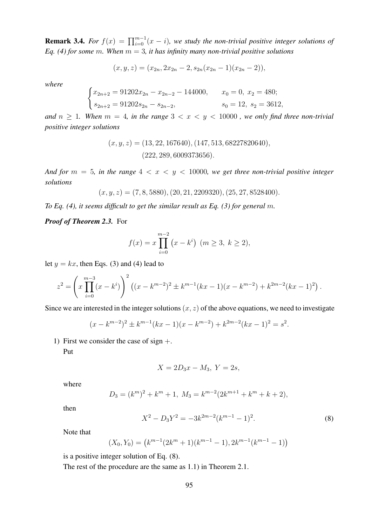**Remark 3.4.** *For*  $f(x) = \prod_{i=0}^{m-1} (x - i)$ , we study the non-trivial positive integer solutions of *Eq.* (4) for some m. When  $m = 3$ , it has infinity many non-trivial positive solutions

$$
(x, y, z) = (x_{2n}, 2x_{2n} - 2, s_{2n}(x_{2n} - 1)(x_{2n} - 2)),
$$

*where*

$$
\begin{cases}\nx_{2n+2} = 91202x_{2n} - x_{2n-2} - 144000, & x_0 = 0, x_2 = 480; \\
s_{2n+2} = 91202s_{2n} - s_{2n-2}, & s_0 = 12, s_2 = 3612,\n\end{cases}
$$

*and*  $n \geq 1$ *. When*  $m = 4$ *, in the range*  $3 < x < y < 10000$ *, we only find three non-trivial positive integer solutions*

$$
(x, y, z) = (13, 22, 167640), (147, 513, 68227820640),(222, 289, 6009373656).
$$

*And for*  $m = 5$ *, in the range*  $4 < x < y < 10000$ *, we get three non-trivial positive integer solutions*

$$
(x, y, z) = (7, 8, 5880), (20, 21, 2209320), (25, 27, 8528400).
$$

*To Eq. (4), it seems difficult to get the similar result as Eq. (3) for general m.* 

*Proof of Theorem 2.3.* For

$$
f(x) = x \prod_{i=0}^{m-2} (x - k^{i}) \quad (m \ge 3, \ k \ge 2),
$$

let  $y = kx$ , then Eqs. (3) and (4) lead to

$$
z^{2} = \left(x \prod_{i=0}^{m-3} (x - k^{i})\right)^{2} \left((x - k^{m-2})^{2} \pm k^{m-1} (kx - 1)(x - k^{m-2}) + k^{2m-2} (kx - 1)^{2}\right).
$$

Since we are interested in the integer solutions  $(x, z)$  of the above equations, we need to investigate

$$
(x - k^{m-2})^2 \pm k^{m-1}(kx - 1)(x - k^{m-2}) + k^{2m-2}(kx - 1)^2 = s^2.
$$

1) First we consider the case of sign  $+$ .

Put

$$
X = 2D_3x - M_3, \ Y = 2s,
$$

where

$$
D_3 = (k^m)^2 + k^m + 1, M_3 = k^{m-2}(2k^{m+1} + k^m + k + 2),
$$

then

$$
X^2 - D_3 Y^2 = -3k^{2m-2}(k^{m-1} - 1)^2.
$$
 (8)

Note that

$$
(X_0, Y_0) = (k^{m-1}(2k^m + 1)(k^{m-1} - 1), 2k^{m-1}(k^{m-1} - 1))
$$

is a positive integer solution of Eq. (8).

The rest of the procedure are the same as 1.1) in Theorem 2.1.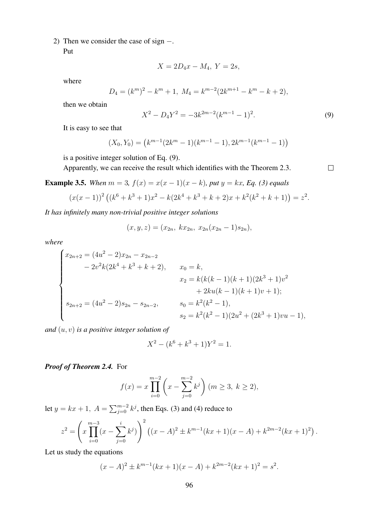2) Then we consider the case of sign −.

Put

$$
X = 2D_4x - M_4, \ Y = 2s,
$$

where

$$
D_4 = (k^m)^2 - k^m + 1, M_4 = k^{m-2}(2k^{m+1} - k^m - k + 2),
$$

then we obtain

$$
X^2 - D_4 Y^2 = -3k^{2m-2}(k^{m-1} - 1)^2.
$$
\n(9)

 $\Box$ 

It is easy to see that

$$
(X_0, Y_0) = (k^{m-1}(2k^m - 1)(k^{m-1} - 1), 2k^{m-1}(k^{m-1} - 1))
$$

is a positive integer solution of Eq. (9).

Apparently, we can receive the result which identifies with the Theorem 2.3.

**Example 3.5.** When  $m = 3$ ,  $f(x) = x(x - 1)(x - k)$ , put  $y = kx$ , Eq. (3) equals

$$
(x(x-1))^{2} ((k^{6} + k^{3} + 1)x^{2} - k(2k^{4} + k^{3} + k + 2)x + k^{2}(k^{2} + k + 1)) = z^{2}.
$$

*It has infinitely many non-trivial positive integer solutions*

$$
(x, y, z) = (x_{2n}, kx_{2n}, x_{2n}(x_{2n} - 1)s_{2n}),
$$

*where*

$$
\begin{cases}\nx_{2n+2} = (4u^2 - 2)x_{2n} - x_{2n-2} \\
- 2v^2k(2k^4 + k^3 + k + 2), & x_0 = k, \\
x_2 = k(k(k-1)(k+1)(2k^3 + 1)v^2 \\
+ 2ku(k-1)(k+1)v + 1); \\
s_{2n+2} = (4u^2 - 2)s_{2n} - s_{2n-2}, & s_0 = k^2(k^2 - 1), \\
s_2 = k^2(k^2 - 1)(2u^2 + (2k^3 + 1)vu - 1),\n\end{cases}
$$

*and* (u, v) *is a positive integer solution of*

$$
X^2 - (k^6 + k^3 + 1)Y^2 = 1.
$$

#### *Proof of Theorem 2.4.* For

$$
f(x) = x \prod_{i=0}^{m-2} \left( x - \sum_{j=0}^{m-2} k^j \right) (m \ge 3, k \ge 2),
$$

let  $y = kx + 1$ ,  $A = \sum_{j=0}^{m-2} k^j$ , then Eqs. (3) and (4) reduce to

$$
z^{2} = \left(x \prod_{i=0}^{m-3} (x - \sum_{j=0}^{i} k^{j})\right)^{2} \left((x - A)^{2} \pm k^{m-1} (kx + 1)(x - A) + k^{2m-2} (kx + 1)^{2}\right).
$$

Let us study the equations

$$
(x - A)^2 \pm k^{m-1}(kx + 1)(x - A) + k^{2m-2}(kx + 1)^2 = s^2.
$$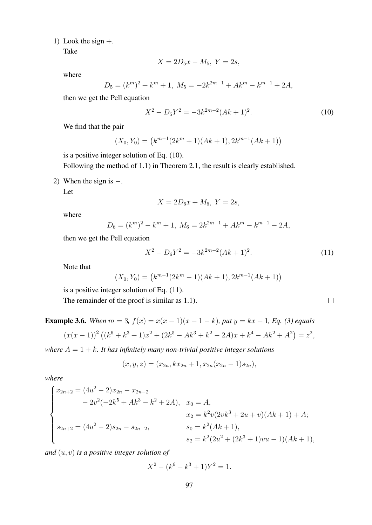1) Look the sign  $+$ .

Take

$$
X = 2D_5x - M_5, \ Y = 2s,
$$

where

$$
D_5 = (k^m)^2 + k^m + 1, M_5 = -2k^{2m-1} + Ak^m - k^{m-1} + 2A,
$$

then we get the Pell equation

$$
X^2 - D_5 Y^2 = -3k^{2m-2} (Ak+1)^2.
$$
 (10)

We find that the pair

$$
(X_0, Y_0) = (k^{m-1}(2k^m + 1)(Ak+1), 2k^{m-1}(Ak+1))
$$

is a positive integer solution of Eq. (10).

Following the method of 1.1) in Theorem 2.1, the result is clearly established.

2) When the sign is  $-$ .

Let

$$
X = 2D_6x + M_6, \ Y = 2s,
$$

where

$$
D_6 = (k^m)^2 - k^m + 1, M_6 = 2k^{2m-1} + Ak^m - k^{m-1} - 2A,
$$

then we get the Pell equation

$$
X^2 - D_6 Y^2 = -3k^{2m-2} (Ak+1)^2.
$$
 (11)

Note that

$$
(X_0, Y_0) = (k^{m-1}(2k^m - 1)(Ak+1), 2k^{m-1}(Ak+1))
$$

is a positive integer solution of Eq. (11).

The remainder of the proof is similar as 1.1).

**Example 3.6.** When  $m = 3$ ,  $f(x) = x(x - 1)(x - 1 - k)$ , put  $y = kx + 1$ , Eq. (3) equals

$$
(x(x-1))^{2} ((k^{6} + k^{3} + 1)x^{2} + (2k^{5} - Ak^{3} + k^{2} - 2A)x + k^{4} - Ak^{2} + A^{2}) = z^{2},
$$

*where*  $A = 1 + k$ *. It has infinitely many non-trivial positive integer solutions* 

$$
(x, y, z) = (x_{2n}, kx_{2n} + 1, x_{2n}(x_{2n} - 1)s_{2n}),
$$

*where*

$$
\begin{cases}\nx_{2n+2} = (4u^2 - 2)x_{2n} - x_{2n-2} \\
- 2v^2(-2k^5 + Ak^3 - k^2 + 2A), & x_0 = A, \\
x_2 = k^2v(2vk^3 + 2u + v)(Ak + 1) + A; \\
s_{2n+2} = (4u^2 - 2)s_{2n} - s_{2n-2}, & s_0 = k^2(Ak + 1), \\
s_2 = k^2(2u^2 + (2k^3 + 1)vu - 1)(Ak + 1),\n\end{cases}
$$

*and* (u, v) *is a positive integer solution of*

$$
X^2 - (k^6 + k^3 + 1)Y^2 = 1.
$$

 $\Box$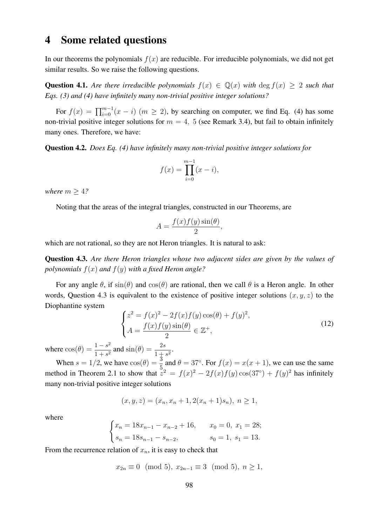## 4 Some related questions

In our theorems the polynomials  $f(x)$  are reducible. For irreducible polynomials, we did not get similar results. So we raise the following questions.

**Question 4.1.** *Are there irreducible polynomials*  $f(x) \in \mathbb{Q}(x)$  *with* deg  $f(x) > 2$  *such that Eqs. (3) and (4) have infinitely many non-trivial positive integer solutions?*

For  $f(x) = \prod_{i=0}^{m-1} (x - i)$   $(m \ge 2)$ , by searching on computer, we find Eq. (4) has some non-trivial positive integer solutions for  $m = 4$ , 5 (see Remark 3.4), but fail to obtain infinitely many ones. Therefore, we have:

Question 4.2. *Does Eq. (4) have infinitely many non-trivial positive integer solutions for*

$$
f(x) = \prod_{i=0}^{m-1} (x - i),
$$

*where*  $m > 4$ ?

Noting that the areas of the integral triangles, constructed in our Theorems, are

$$
A = \frac{f(x)f(y)\sin(\theta)}{2},
$$

which are not rational, so they are not Heron triangles. It is natural to ask:

Question 4.3. *Are there Heron triangles whose two adjacent sides are given by the values of polynomials* f(x) *and* f(y) *with a fixed Heron angle?*

For any angle  $\theta$ , if  $\sin(\theta)$  and  $\cos(\theta)$  are rational, then we call  $\theta$  is a Heron angle. In other words, Question 4.3 is equivalent to the existence of positive integer solutions  $(x, y, z)$  to the Diophantine system

$$
\begin{cases}\n z^2 = f(x)^2 - 2f(x)f(y)\cos(\theta) + f(y)^2, \\
 A = \frac{f(x)f(y)\sin(\theta)}{2} \in \mathbb{Z}^+, \n\end{cases}
$$
\n(12)

where  $\cos(\theta) = \frac{1-s^2}{1+s^2}$  $\frac{1-s^2}{1+s^2}$  and  $\sin(\theta) = \frac{2s}{1+s^2}$ .

When  $s = 1/2$ , we have  $cos(\theta) = \frac{3}{5}$  and  $\theta = 37^\circ$ . For  $f(x) = x(x + 1)$ , we can use the same method in Theorem 2.1 to show that  $z^2 = f(x)^2 - 2f(x)f(y)\cos(37^\circ) + f(y)^2$  has infinitely many non-trivial positive integer solutions

$$
(x, y, z) = (x_n, x_n + 1, 2(x_n + 1)s_n), \ n \ge 1,
$$

where

$$
\begin{cases}\n x_n = 18x_{n-1} - x_{n-2} + 16, & x_0 = 0, \ x_1 = 28; \\
 s_n = 18s_{n-1} - s_{n-2}, & s_0 = 1, \ s_1 = 13.\n\end{cases}
$$

From the recurrence relation of  $x_n$ , it is easy to check that

$$
x_{2n} \equiv 0 \pmod{5}, x_{2n-1} \equiv 3 \pmod{5}, n \ge 1,
$$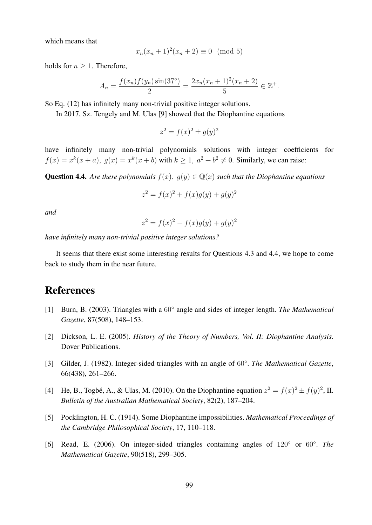which means that

$$
x_n(x_n + 1)^2(x_n + 2) \equiv 0 \pmod{5}
$$

holds for  $n > 1$ . Therefore,

$$
A_n = \frac{f(x_n)f(y_n)\sin(37^\circ)}{2} = \frac{2x_n(x_n+1)^2(x_n+2)}{5} \in \mathbb{Z}^+.
$$

So Eq. (12) has infinitely many non-trivial positive integer solutions.

In 2017, Sz. Tengely and M. Ulas [9] showed that the Diophantine equations

$$
z^2 = f(x)^2 \pm g(y)^2
$$

have infinitely many non-trivial polynomials solutions with integer coefficients for  $f(x) = x<sup>k</sup>(x + a)$ ,  $g(x) = x<sup>k</sup>(x + b)$  with  $k \ge 1$ ,  $a<sup>2</sup> + b<sup>2</sup> \ne 0$ . Similarly, we can raise:

Question 4.4. *Are there polynomials*  $f(x)$ ,  $g(y) \in \mathbb{Q}(x)$  *such that the Diophantine equations* 

$$
z^2 = f(x)^2 + f(x)g(y) + g(y)^2
$$

*and*

$$
z^2 = f(x)^2 - f(x)g(y) + g(y)^2
$$

*have infinitely many non-trivial positive integer solutions?*

It seems that there exist some interesting results for Questions 4.3 and 4.4, we hope to come back to study them in the near future.

### References

- [1] Burn, B. (2003). Triangles with a 60° angle and sides of integer length. *The Mathematical Gazette*, 87(508), 148–153.
- [2] Dickson, L. E. (2005). *History of the Theory of Numbers, Vol. II: Diophantine Analysis*. Dover Publications.
- [3] Gilder, J. (1982). Integer-sided triangles with an angle of 60◦ . *The Mathematical Gazette*, 66(438), 261–266.
- [4] He, B., Togbé, A., & Ulas, M. (2010). On the Diophantine equation  $z^2 = f(x)^2 \pm f(y)^2$ , II. *Bulletin of the Australian Mathematical Society*, 82(2), 187–204.
- [5] Pocklington, H. C. (1914). Some Diophantine impossibilities. *Mathematical Proceedings of the Cambridge Philosophical Society*, 17, 110–118.
- [6] Read, E. (2006). On integer-sided triangles containing angles of 120◦ or 60◦ . *The Mathematical Gazette*, 90(518), 299–305.